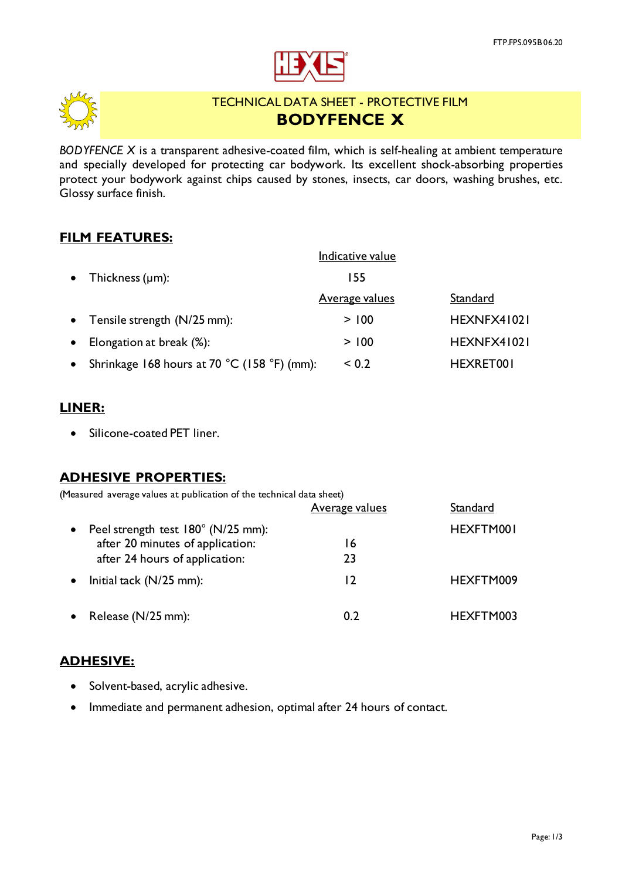



# TECHNICAL DATA SHEET - PROTECTIVE FILM **BODYFENCE X**

*BODYFENCE X* is a transparent adhesive-coated film, which is self-healing at ambient temperature and specially developed for protecting car bodywork. Its excellent shock-absorbing properties protect your bodywork against chips caused by stones, insects, car doors, washing brushes, etc. Glossy surface finish.

## **FILM FEATURES:**

|           |                                             | Indicative value      |             |
|-----------|---------------------------------------------|-----------------------|-------------|
| $\bullet$ | Thickness $(\mu m)$ :                       | 155                   |             |
|           |                                             | <u>Average values</u> | Standard    |
| $\bullet$ | Tensile strength (N/25 mm):                 | > 100                 | HEXNFX41021 |
| $\bullet$ | Elongation at break (%):                    | > 100                 | HEXNFX41021 |
| $\bullet$ | Shrinkage 168 hours at 70 °C (158 °F) (mm): | ${}_{0.2}$            | HEXRET001   |

## **LINER:**

• Silicone-coated PET liner.

## **ADHESIVE PROPERTIES:**

(Measured average values at publication of the technical data sheet)

|           |                                    | <b>Average values</b> | Standard  |
|-----------|------------------------------------|-----------------------|-----------|
| $\bullet$ | Peel strength test 180° (N/25 mm): |                       | HEXFTM001 |
|           | after 20 minutes of application:   | 16                    |           |
|           | after 24 hours of application:     | 23                    |           |
| $\bullet$ | Initial tack $(N/25$ mm):          | 12                    | HEXFTM009 |
| $\bullet$ | Release (N/25 mm):                 | 0.2                   | HEXFTM003 |

## **ADHESIVE:**

- Solvent-based, acrylic adhesive.
- Immediate and permanent adhesion, optimal after 24 hours of contact.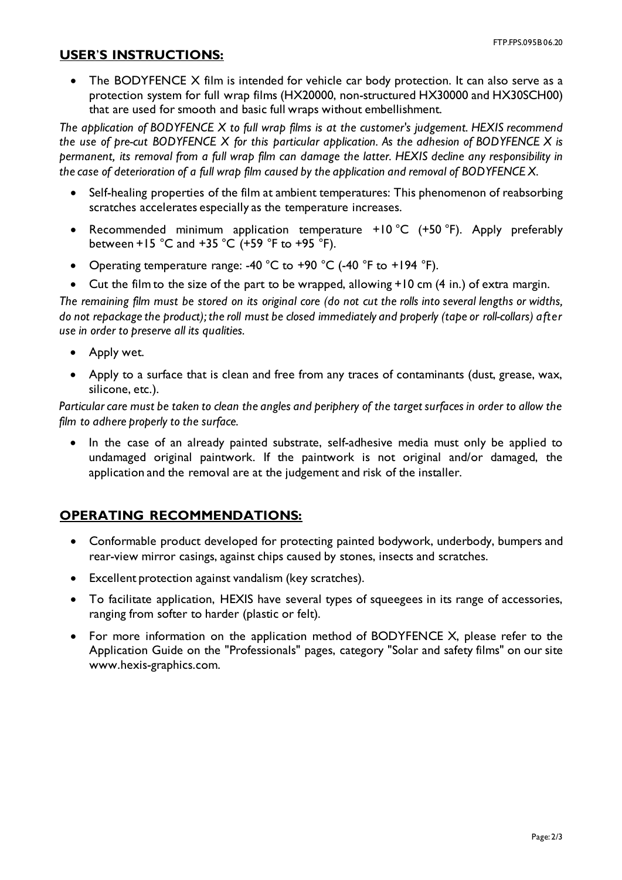### **USER**'**S INSTRUCTIONS:**

• The BODYFENCE X film is intended for vehicle car body protection. It can also serve as a protection system for full wrap films (HX20000, non-structured HX30000 and HX30SCH00) that are used for smooth and basic full wraps without embellishment.

*The application of BODYFENCE X to full wrap films is at the customer's judgement. HEXIS recommend the use of pre-cut BODYFENCE X for this particular application. As the adhesion of BODYFENCE X is permanent, its removal from a full wrap film can damage the latter. HEXIS decline any responsibility in the case of deterioration of a full wrap film caused by the application and removal of BODYFENCE X.*

- Self-healing properties of the film at ambient temperatures: This phenomenon of reabsorbing scratches accelerates especially as the temperature increases.
- Recommended minimum application temperature +10 °C (+50 °F). Apply preferably between +15 °C and +35 °C (+59 °F to +95 °F).
- Operating temperature range: -40  $^{\circ}$ C to +90  $^{\circ}$ C (-40  $^{\circ}$ F to +194  $^{\circ}$ F).
- Cut the film to the size of the part to be wrapped, allowing +10 cm (4 in.) of extra margin.

*The remaining film must be stored on its original core (do not cut the rolls into several lengths or widths, do not repackage the product); the roll must be closed immediately and properly (tape or roll-collars) after use in order to preserve all its qualities.*

- Apply wet.
- Apply to a surface that is clean and free from any traces of contaminants (dust, grease, wax, silicone, etc.).

*Particular care must be taken to clean the angles and periphery of the target surfaces in order to allow the film to adhere properly to the surface.*

• In the case of an already painted substrate, self-adhesive media must only be applied to undamaged original paintwork. If the paintwork is not original and/or damaged, the application and the removal are at the judgement and risk of the installer.

## **OPERATING RECOMMENDATIONS:**

- Conformable product developed for protecting painted bodywork, underbody, bumpers and rear-view mirror casings, against chips caused by stones, insects and scratches.
- Excellent protection against vandalism (key scratches).
- To facilitate application, HEXIS have several types of squeegees in its range of accessories, ranging from softer to harder (plastic or felt).
- For more information on the application method of BODYFENCE X, please refer to the Application Guide on the "Professionals" pages, category "Solar and safety films" on our site www.hexis-graphics.com.